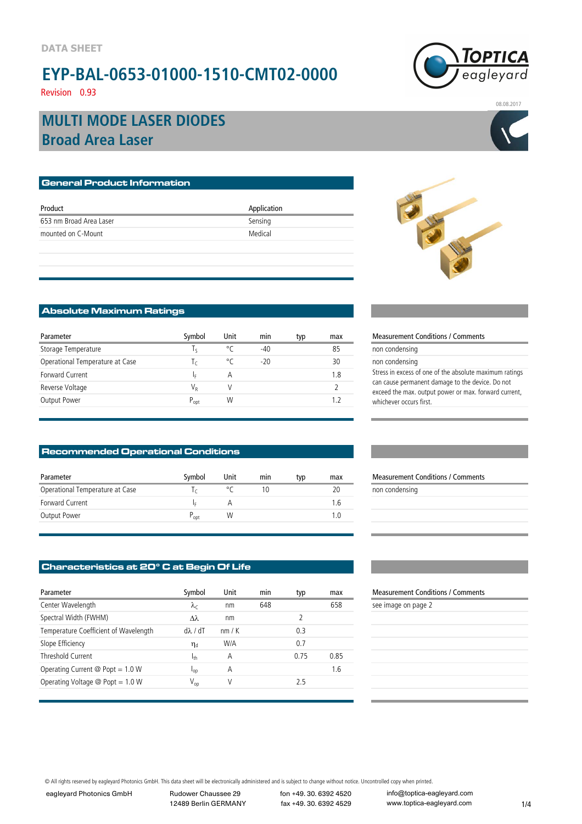### **EYP-BAL-0653-01000-1510-CMT02-0000** Revision 0.93



08.08.2017

### **Broad Area Laser MULTI MODE LASER DIODES**

| <b>General Product Information</b> |             |  |  |  |  |
|------------------------------------|-------------|--|--|--|--|
|                                    |             |  |  |  |  |
| Product                            | Application |  |  |  |  |
| 653 nm Broad Area Laser            | Sensing     |  |  |  |  |
| mounted on C-Mount                 | Medical     |  |  |  |  |
|                                    |             |  |  |  |  |

### **Absolute Maximum Ratings**

| Parameter                       | Symbol    | Unit | min   | typ | max | Measurement (                                          |
|---------------------------------|-----------|------|-------|-----|-----|--------------------------------------------------------|
| Storage Temperature             |           | °C   | $-40$ |     | 85  | non condensing                                         |
| Operational Temperature at Case |           | °C   | $-20$ |     | 30  | non condensing                                         |
| <b>Forward Current</b>          |           | А    |       |     | 1.8 | Stress in excess o                                     |
| Reverse Voltage                 | V,        |      |       |     |     | can cause perma<br>exceed the max.<br>whichever occurs |
| Output Power                    | $P_{opt}$ | W    |       |     |     |                                                        |

#### **Recommended Operational Conditions**

| Parameter                       | Symbol     | Unit | min | typ | max | <b>Measurement Conditions / Comments</b> |
|---------------------------------|------------|------|-----|-----|-----|------------------------------------------|
| Operational Temperature at Case |            |      |     |     | 20  | non condensing                           |
| Forward Current                 |            |      |     |     | .6  |                                          |
| Output Power                    | $\sim$ opt | W    |     |     |     |                                          |

### **Characteristics at 20° C at Begin Of Life**

| Parameter                                        | Symbol            | Unit | min | typ  | max  | <b>Measurement Condi</b> |
|--------------------------------------------------|-------------------|------|-----|------|------|--------------------------|
| Center Wavelength                                | $\lambda_c$       | nm   | 648 |      | 658  | see image on page 2      |
| Spectral Width (FWHM)                            | $\lambda\lambda$  | nm   |     |      |      |                          |
| Temperature Coefficient of Wavelength            | $d\lambda$ / $dT$ | nm/K |     | 0.3  |      |                          |
| Slope Efficiency                                 | $\eta_d$          | W/A  |     | 0.7  |      |                          |
| Threshold Current                                | 1 <sub>th</sub>   | Α    |     | 0.75 | 0.85 |                          |
| Operating Current $\textcircled{2}$ Popt = 1.0 W | $n_{0}$           | Α    |     |      | 1.6  |                          |
| Operating Voltage $\textcircled{2}$ Popt = 1.0 W | $V_{op}$          | V    |     | 2.5  |      |                          |
|                                                  |                   |      |     |      |      |                          |



#### Measurement Conditions / Comments

| non condensing                                          |
|---------------------------------------------------------|
| non condensing                                          |
| Stress in excess of one of the absolute maximum ratings |
| can cause permanent damage to the device. Do not        |
| exceed the max. output power or max. forward current,   |
| whichever occurs first.                                 |
|                                                         |

| <b>Measurement Conditions / Comments</b> |  |
|------------------------------------------|--|
| non condensing                           |  |

### Measurement Conditions / Comments

| e image on page 2 |  |  |  |
|-------------------|--|--|--|
|                   |  |  |  |

© All rights reserved by eagleyard Photonics GmbH. This data sheet will be electronically administered and is subject to change without notice. Uncontrolled copy when printed.

eagleyard Photonics GmbH Rudower Chaussee 29

12489 Berlin GERMANY

fon +49. 30. 6392 4520 fax +49. 30. 6392 4529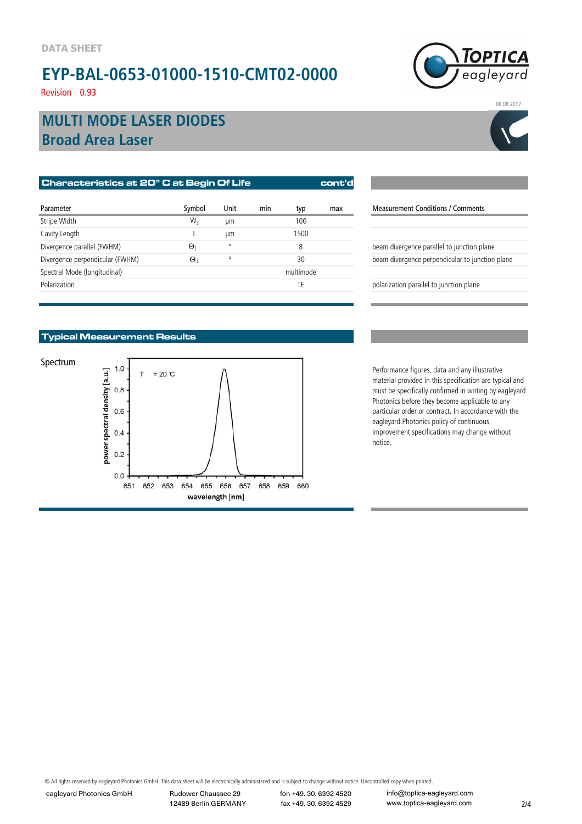# **EYP-BAL-0653-01000-1510-CMT02-0000**

Revision 0.93



08.08.2017

**Broad Area Laser MULTI MODE LASER DIODES**

| Characteristics at 20° C at Begin Of Life |            |         |     |           | cont'd |                                                 |
|-------------------------------------------|------------|---------|-----|-----------|--------|-------------------------------------------------|
| Parameter                                 | Symbol     | Unit    | min | typ       | max    | <b>Measurement Conditions / Comments</b>        |
| Stripe Width                              | W.         | um      |     | 100       |        |                                                 |
| Cavity Length                             |            | um      |     | 1500      |        |                                                 |
| Divergence parallel (FWHM)                | $\Theta$   | $\circ$ |     | 8         |        | beam divergence parallel to junction plane      |
| Divergence perpendicular (FWHM)           | $\Theta_1$ | $\circ$ |     | 30        |        | beam divergence perpendicular to junction plane |
| Spectral Mode (longitudinal)              |            |         |     | multimode |        |                                                 |
| Polarization                              |            |         |     | TE        |        | polarization parallel to junction plane         |
|                                           |            |         |     |           |        |                                                 |

| <b>Measurement Conditions / Comments</b>        |
|-------------------------------------------------|
|                                                 |
|                                                 |
| beam divergence parallel to junction plane      |
| beam divergence perpendicular to junction plane |
|                                                 |
| polarization parallel to junction plane         |
|                                                 |

### **Typical Measurement Results**



material provided in this specification are typical and must be specifically confirmed in writing by eagleyard Photonics before they become applicable to any particular order or contract. In accordance with the eagleyard Photonics policy of continuous improvement specifications may change without notice.

© All rights reserved by eagleyard Photonics GmbH. This data sheet will be electronically administered and is subject to change without notice. Uncontrolled copy when printed.

eagleyard Photonics GmbH Rudower Chaussee 29

12489 Berlin GERMANY

fon +49. 30. 6392 4520 fax +49. 30. 6392 4529

info@toptica-eagleyard.com www.toptica-eagleyard.com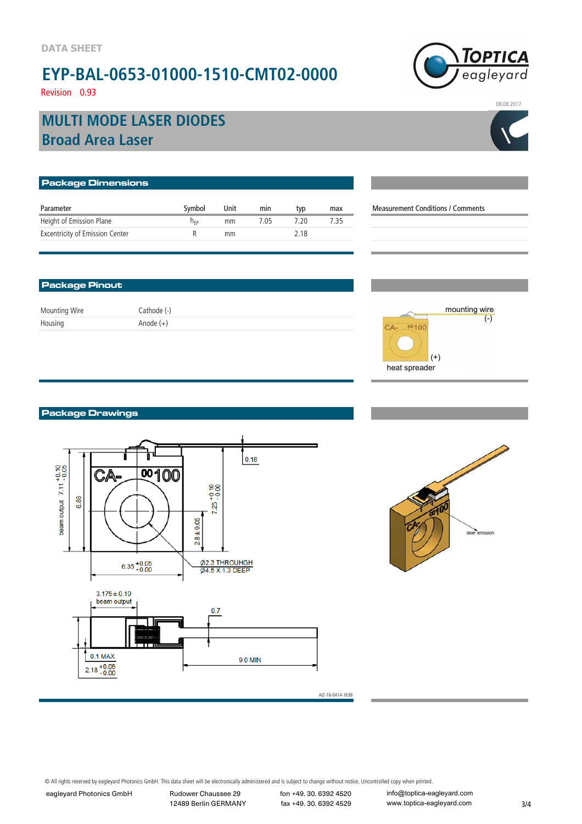# **EYP-BAL-0653-01000-1510-CMT02-0000**

TOPTICA eagleyard

### Revision 0.93

## **Broad Area Laser MULTI MODE LASER DIODES**

| <b>Package Dimensions</b>              |                 |      |      |      |      |                                          |
|----------------------------------------|-----------------|------|------|------|------|------------------------------------------|
| Parameter                              | Symbol          | Unit | min  | typ  | max  | <b>Measurement Conditions / Comments</b> |
| Height of Emission Plane               | n <sub>FP</sub> | mm   | 7.05 | 7.20 | 7.35 |                                          |
| <b>Excentricity of Emission Center</b> |                 | mm   |      | 2.18 |      |                                          |

#### **Package Pinout**

Mounting Wire Cathode (-) Housing Anode (+)

# mounting wire (-) CA- 00100

 $(+)$ 

heat spreader

**Package Drawings**





AIZ-16-0414-1638

© All rights reserved by eagleyard Photonics GmbH. This data sheet will be electronically administered and is subject to change without notice. Uncontrolled copy when printed.

eagleyard Photonics GmbH Rudower Chaussee 29

12489 Berlin GERMANY

fon +49. 30. 6392 4520 fax +49. 30. 6392 4529

info@toptica-eagleyard.com www.toptica-eagleyard.com



08.08.2017